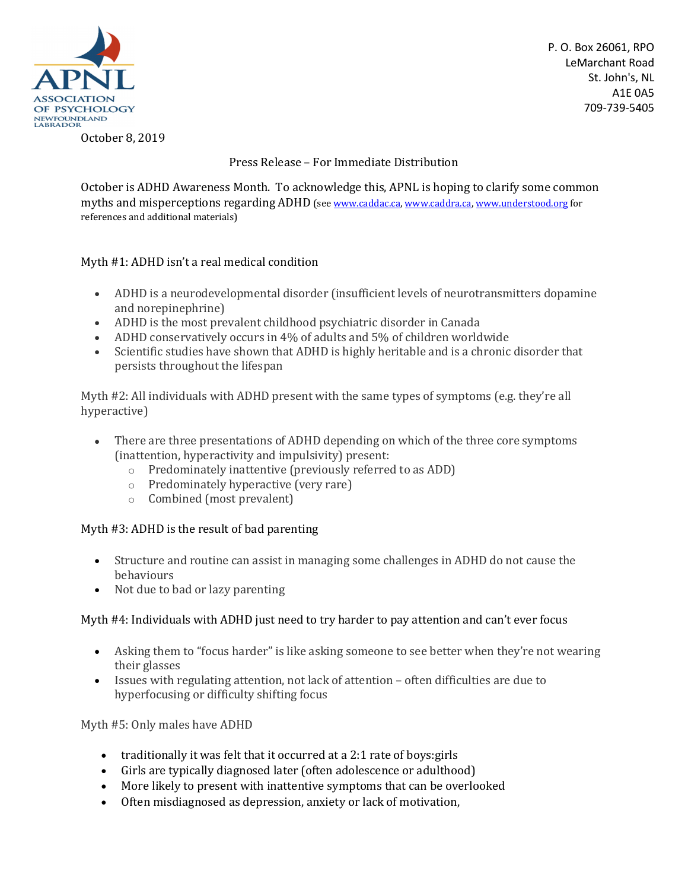

P. O. Box 26061, RPO LeMarchant Road St. John's, NL A1E 0A5 709-739-5405

October 8, 2019

Press Release – For Immediate Distribution

October is ADHD Awareness Month. To acknowledge this, APNL is hoping to clarify some common myths and misperceptions regarding ADHD (see www.caddac.ca, www.caddra.ca, www.understood.org for references and additional materials)

## Myth #1: ADHD isn't a real medical condition

- ADHD is a neurodevelopmental disorder (insufficient levels of neurotransmitters dopamine and norepinephrine)
- ADHD is the most prevalent childhood psychiatric disorder in Canada
- ADHD conservatively occurs in 4% of adults and 5% of children worldwide
- Scientific studies have shown that ADHD is highly heritable and is a chronic disorder that persists throughout the lifespan

Myth #2: All individuals with ADHD present with the same types of symptoms (e.g. they're all hyperactive)

- There are three presentations of ADHD depending on which of the three core symptoms (inattention, hyperactivity and impulsivity) present:
	- o Predominately inattentive (previously referred to as ADD)
	- o Predominately hyperactive (very rare)
	- o Combined (most prevalent)

## Myth #3: ADHD is the result of bad parenting

- Structure and routine can assist in managing some challenges in ADHD do not cause the behaviours
- Not due to bad or lazy parenting

## Myth #4: Individuals with ADHD just need to try harder to pay attention and can't ever focus

- Asking them to "focus harder" is like asking someone to see better when they're not wearing their glasses
- Issues with regulating attention, not lack of attention often difficulties are due to hyperfocusing or difficulty shifting focus

Myth #5: Only males have ADHD

- traditionally it was felt that it occurred at a 2:1 rate of boys:girls
- Girls are typically diagnosed later (often adolescence or adulthood)
- More likely to present with inattentive symptoms that can be overlooked
- Often misdiagnosed as depression, anxiety or lack of motivation,